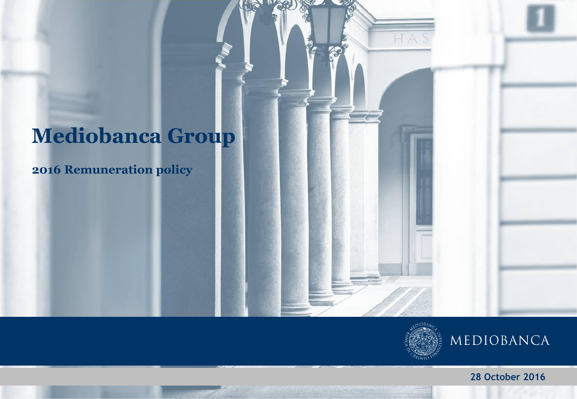# **Mediobanca Group**

**2016 Remuneration policy**



**28 October 2016**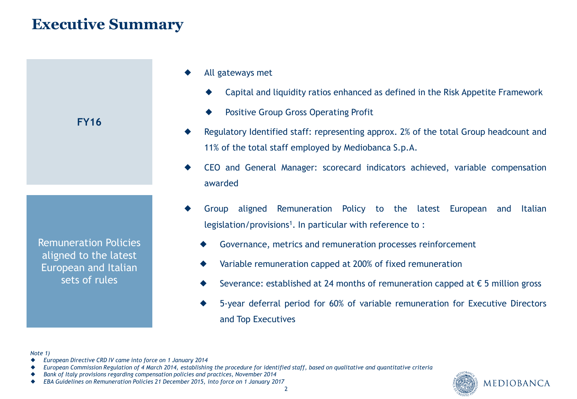## **Executive Summary**



Remuneration Policies aligned to the latest European and Italian sets of rules

- All gateways met
	- Capital and liquidity ratios enhanced as defined in the Risk Appetite Framework
	- Positive Group Gross Operating Profit
- Regulatory Identified staff: representing approx. 2% of the total Group headcount and 11% of the total staff employed by Mediobanca S.p.A.
- CEO and General Manager: scorecard indicators achieved, variable compensation awarded
- Group aligned Remuneration Policy to the latest European and Italian legislation/provisions<sup>1</sup>. In particular with reference to:
	- Governance, metrics and remuneration processes reinforcement
	- Variable remuneration capped at 200% of fixed remuneration
	- Severance: established at 24 months of remuneration capped at  $\epsilon$  5 million gross
	- 5-year deferral period for 60% of variable remuneration for Executive Directors and Top Executives

*Note 1)*

- *European Directive CRD IV came into force on 1 January 2014*
- *European Commission Regulation of 4 March 2014, establishing the procedure for identified staff, based on qualitative and quantitative criteria*
- *Bank of Italy provisions regarding compensation policies and practices, November 2014*
- *EBA Guidelines on Remuneration Policies 21 December 2015, into force on 1 January 2017*

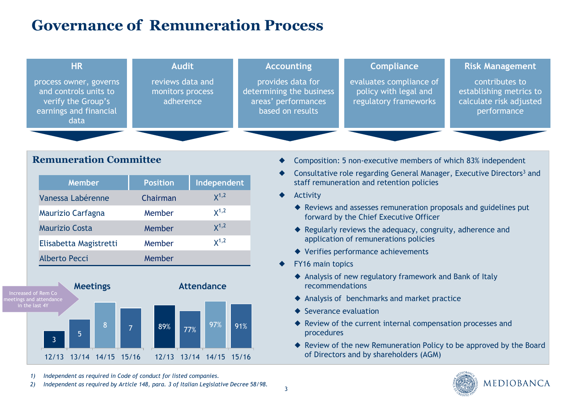## **Governance of Remuneration Process**

| <b>HR</b>                                                                                               | <b>Audit</b>                                      | <b>Accounting</b>                                                                        | <b>Compliance</b>                                                         | <b>Risk Management</b>                                                              |
|---------------------------------------------------------------------------------------------------------|---------------------------------------------------|------------------------------------------------------------------------------------------|---------------------------------------------------------------------------|-------------------------------------------------------------------------------------|
| process owner, governs<br>and controls units to<br>verify the Group's<br>earnings and financial<br>data | reviews data and<br>monitors process<br>adherence | provides data for<br>determining the business<br>areas' performances<br>based on results | evaluates compliance of<br>policy with legal and<br>regulatory frameworks | contributes to<br>establishing metrics to<br>calculate risk adjusted<br>performance |
|                                                                                                         |                                                   |                                                                                          |                                                                           |                                                                                     |

## **Remuneration Committee**

| <b>Member</b>          | <b>Position</b> | Independent |
|------------------------|-----------------|-------------|
| Vanessa Labérenne      | Chairman        | $X^{1,2}$   |
| Maurizio Carfagna      | Member          | $X^{1,2}$   |
| Maurizio Costa         | Member          | $X^{1,2}$   |
| Elisabetta Magistretti | Member          | $x^{1,2}$   |
| Alberto Pecci          | Member          |             |



- Composition: 5 non-executive members of which 83% independent
- Consultative role regarding General Manager, Executive Directors<sup>3</sup> and staff remuneration and retention policies
- Activity
	- Reviews and assesses remuneration proposals and guidelines put forward by the Chief Executive Officer
	- Regularly reviews the adequacy, congruity, adherence and application of remunerations policies
	- Verifies performance achievements
- FY16 main topics
	- Analysis of new regulatory framework and Bank of Italy recommendations
	- Analysis of benchmarks and market practice
	- ◆ Severance evaluation
	- Review of the current internal compensation processes and procedures
	- ◆ Review of the new Remuneration Policy to be approved by the Board of Directors and by shareholders (AGM)



*1) Independent as required in Code of conduct for listed companies.* 

*2) Independent as required by Article 148, para. 3 of Italian Legislative Decree 58/98.*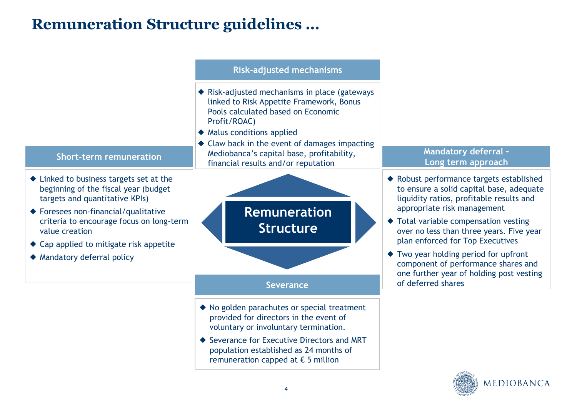## **Remuneration Structure guidelines …**



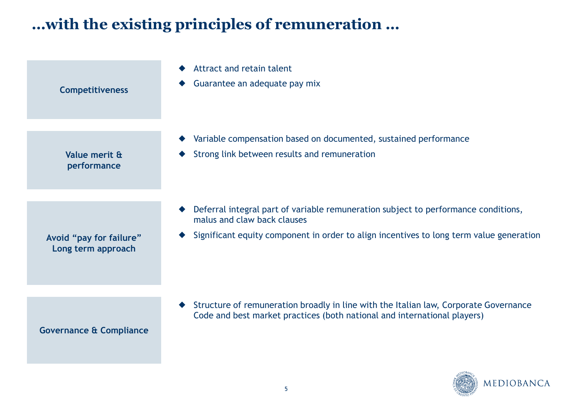## **…with the existing principles of remuneration …**

| <b>Competitiveness</b>                        | Attract and retain talent<br>Guarantee an adequate pay mix                                                                                                                                                   |
|-----------------------------------------------|--------------------------------------------------------------------------------------------------------------------------------------------------------------------------------------------------------------|
| Value merit &<br>performance                  | Variable compensation based on documented, sustained performance<br>Strong link between results and remuneration                                                                                             |
| Avoid "pay for failure"<br>Long term approach | Deferral integral part of variable remuneration subject to performance conditions,<br>malus and claw back clauses<br>Significant equity component in order to align incentives to long term value generation |
| <b>Governance &amp; Compliance</b>            | Structure of remuneration broadly in line with the Italian law, Corporate Governance<br>Code and best market practices (both national and international players)                                             |

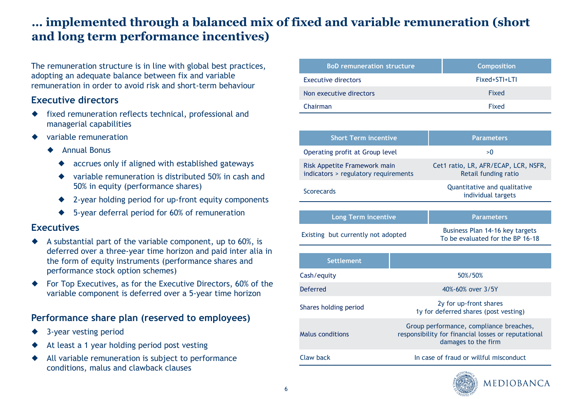## **… implemented through a balanced mix of fixed and variable remuneration (short and long term performance incentives)**

The remuneration structure is in line with global best practices, adopting an adequate balance between fix and variable remuneration in order to avoid risk and short-term behaviour

#### **Executive directors**

- fixed remuneration reflects technical, professional and managerial capabilities
- variable remuneration
	- Annual Bonus
		- accrues only if aligned with established gateways
		- variable remuneration is distributed 50% in cash and 50% in equity (performance shares)
		- 2-year holding period for up-front equity components
		- ◆ 5-year deferral period for 60% of remuneration

#### **Executives**

- $\blacklozenge$  A substantial part of the variable component, up to 60%, is deferred over a three-year time horizon and paid inter alia in the form of equity instruments (performance shares and performance stock option schemes)
- For Top Executives, as for the Executive Directors, 60% of the variable component is deferred over a 5-year time horizon

#### **Performance share plan (reserved to employees)**

- 3-year vesting period
- At least a 1 year holding period post vesting
- All variable remuneration is subject to performance conditions, malus and clawback clauses

| <b>BoD remuneration structure</b> | <b>Composition</b> |
|-----------------------------------|--------------------|
| <b>Executive directors</b>        | Fixed+STI+LTI      |
| Non executive directors           | Fixed              |
| Chairman                          | Fixed              |

| <b>Short Term incentive</b>                                          |         | <b>Parameters</b>                                                                                                     |  |  |  |
|----------------------------------------------------------------------|---------|-----------------------------------------------------------------------------------------------------------------------|--|--|--|
| Operating profit at Group level                                      |         | >0                                                                                                                    |  |  |  |
| Risk Appetite Framework main<br>indicators > regulatory requirements |         | Cet1 ratio, LR, AFR/ECAP, LCR, NSFR,<br>Retail funding ratio                                                          |  |  |  |
| <b>Scorecards</b>                                                    |         | Quantitative and qualitative<br>individual targets                                                                    |  |  |  |
|                                                                      |         |                                                                                                                       |  |  |  |
| <b>Long Term incentive</b>                                           |         | <b>Parameters</b>                                                                                                     |  |  |  |
| Existing but currently not adopted                                   |         | Business Plan 14-16 key targets<br>To be evaluated for the BP 16-18                                                   |  |  |  |
|                                                                      |         |                                                                                                                       |  |  |  |
| <b>Settlement</b>                                                    |         |                                                                                                                       |  |  |  |
| Cash/equity                                                          | 50%/50% |                                                                                                                       |  |  |  |
| <b>Deferred</b>                                                      |         | 40%-60% over 3/5Y                                                                                                     |  |  |  |
| Shares holding period                                                |         | 2y for up-front shares<br>1y for deferred shares (post vesting)                                                       |  |  |  |
| Malus conditions                                                     |         | Group performance, compliance breaches,<br>responsibility for financial losses or reputational<br>damages to the firm |  |  |  |
| Claw back                                                            |         | In case of fraud or willful misconduct                                                                                |  |  |  |
|                                                                      |         |                                                                                                                       |  |  |  |

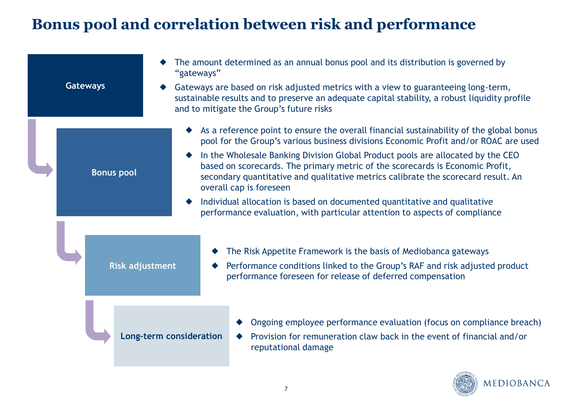## **Bonus pool and correlation between risk and performance**

| <b>Gateways</b>        | The amount determined as an annual bonus pool and its distribution is governed by<br>"gateways"<br>Gateways are based on risk adjusted metrics with a view to guaranteeing long-term,<br>sustainable results and to preserve an adequate capital stability, a robust liquidity profile<br>and to mitigate the Group's future risks                                                                                                                                                                                                                                                                                             |
|------------------------|--------------------------------------------------------------------------------------------------------------------------------------------------------------------------------------------------------------------------------------------------------------------------------------------------------------------------------------------------------------------------------------------------------------------------------------------------------------------------------------------------------------------------------------------------------------------------------------------------------------------------------|
| <b>Bonus pool</b>      | As a reference point to ensure the overall financial sustainability of the global bonus<br>pool for the Group's various business divisions Economic Profit and/or ROAC are used<br>In the Wholesale Banking Division Global Product pools are allocated by the CEO<br>based on scorecards. The primary metric of the scorecards is Economic Profit,<br>secondary quantitative and qualitative metrics calibrate the scorecard result. An<br>overall cap is foreseen<br>Individual allocation is based on documented quantitative and qualitative<br>performance evaluation, with particular attention to aspects of compliance |
| <b>Risk adjustment</b> | The Risk Appetite Framework is the basis of Mediobanca gateways<br>Performance conditions linked to the Group's RAF and risk adjusted product<br>performance foreseen for release of deferred compensation                                                                                                                                                                                                                                                                                                                                                                                                                     |
|                        | Ongoing employee performance evaluation (focus on compliance breach)<br>Long-term consideration<br>Provision for remuneration claw back in the event of financial and/or<br>reputational damage                                                                                                                                                                                                                                                                                                                                                                                                                                |

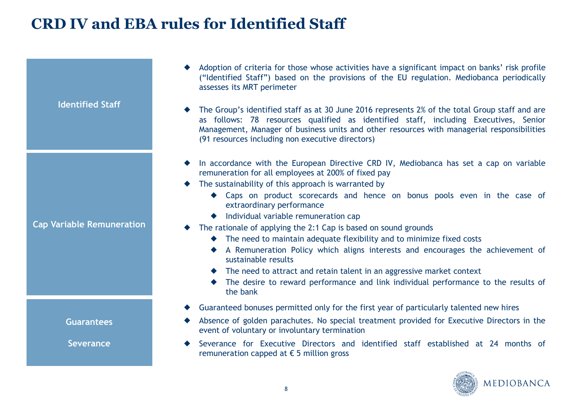## **CRD IV and EBA rules for Identified Staff**

| <b>Identified Staff</b>          | Adoption of criteria for those whose activities have a significant impact on banks' risk profile<br>("Identified Staff") based on the provisions of the EU regulation. Mediobanca periodically<br>assesses its MRT perimeter<br>The Group's identified staff as at 30 June 2016 represents 2% of the total Group staff and are<br>as follows: 78 resources qualified as identified staff, including Executives, Senior<br>Management, Manager of business units and other resources with managerial responsibilities<br>(91 resources including non executive directors)                                                                                                                                                                                                                     |
|----------------------------------|----------------------------------------------------------------------------------------------------------------------------------------------------------------------------------------------------------------------------------------------------------------------------------------------------------------------------------------------------------------------------------------------------------------------------------------------------------------------------------------------------------------------------------------------------------------------------------------------------------------------------------------------------------------------------------------------------------------------------------------------------------------------------------------------|
| <b>Cap Variable Remuneration</b> | In accordance with the European Directive CRD IV, Mediobanca has set a cap on variable<br>remuneration for all employees at 200% of fixed pay<br>The sustainability of this approach is warranted by<br>• Caps on product scorecards and hence on bonus pools even in the case of<br>extraordinary performance<br>◆ Individual variable remuneration cap<br>The rationale of applying the 2:1 Cap is based on sound grounds<br>• The need to maintain adequate flexibility and to minimize fixed costs<br>A Remuneration Policy which aligns interests and encourages the achievement of<br>sustainable results<br>• The need to attract and retain talent in an aggressive market context<br>The desire to reward performance and link individual performance to the results of<br>the bank |
| <b>Guarantees</b>                | Guaranteed bonuses permitted only for the first year of particularly talented new hires<br>Absence of golden parachutes. No special treatment provided for Executive Directors in the<br>event of voluntary or involuntary termination                                                                                                                                                                                                                                                                                                                                                                                                                                                                                                                                                       |
| <b>Severance</b>                 | Severance for Executive Directors and identified staff established at 24 months of<br>remuneration capped at $\epsilon$ 5 million gross                                                                                                                                                                                                                                                                                                                                                                                                                                                                                                                                                                                                                                                      |

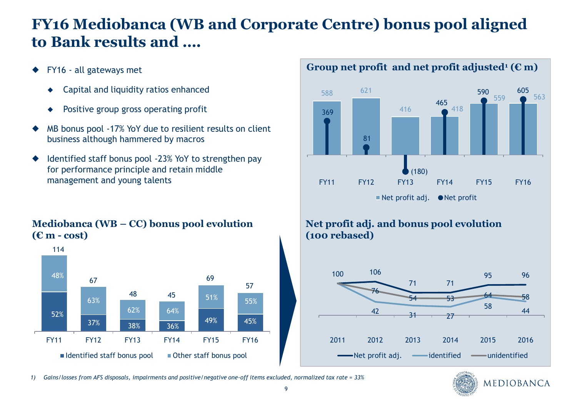## **FY16 Mediobanca (WB and Corporate Centre) bonus pool aligned to Bank results and ….**

- FY16 all gateways met
	- Capital and liquidity ratios enhanced
	- ◆ Positive group gross operating profit
- MB bonus pool -17% YoY due to resilient results on client business although hammered by macros
- Identified staff bonus pool -23% YoY to strengthen pay for performance principle and retain middle management and young talents

#### **Mediobanca (WB – CC) bonus pool evolution (€ m - cost)**



## Group net profit and net profit adjusted<sup>1</sup>  $(\mathbf{E} \mathbf{m})$



## **Net profit adj. and bonus pool evolution (100 rebased)**





*1) Gains/losses from AFS disposals, impairments and positive/negative one-off items excluded, normalized tax rate = 33%*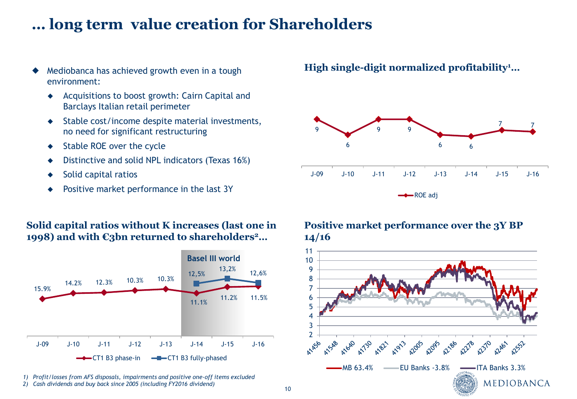## **… long term value creation for Shareholders**

- Mediobanca has achieved growth even in a tough environment:
	- ◆ Acquisitions to boost growth: Cairn Capital and Barclays Italian retail perimeter
	- ◆ Stable cost/income despite material investments, no need for significant restructuring
	- ◆ Stable ROE over the cycle
	- Distinctive and solid NPL indicators (Texas 16%)
	- Solid capital ratios
	- Positive market performance in the last 3Y

#### **Solid capital ratios without K increases (last one in 1998) and with €3bn returned to shareholders<sup>2</sup>…**



- *1) Profit/losses from AFS disposals, impairments and positive one-off items excluded*
- *2) Cash dividends and buy back since 2005 (including FY2016 dividend)*

## **High single-digit normalized profitability<sup>1</sup>…**



#### **Positive market performance over the 3Y BP 14/16**

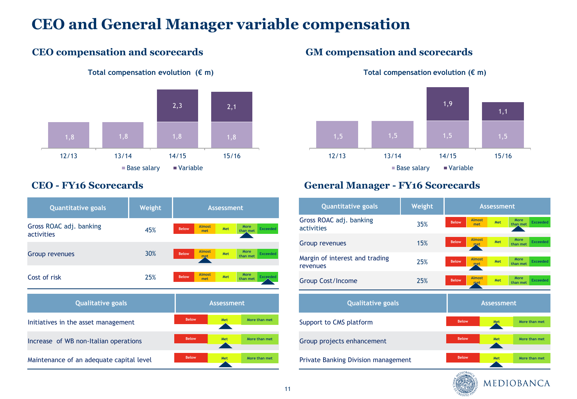## **CEO and General Manager variable compensation**

11

## **CEO compensation and scorecards GM compensation and scorecards**



#### **Total compensation evolution (€ m) Total compensation evolution (€ m)**



| <b>Quantitative goals</b><br>Weight      |     |              | <b>Assessment</b>    |                      |                                            |  |  |
|------------------------------------------|-----|--------------|----------------------|----------------------|--------------------------------------------|--|--|
| Gross ROAC adj. banking<br>activities    | 45% | <b>Below</b> | <b>Almost</b><br>met | Met                  | <b>More</b><br><b>Exceeded</b><br>than met |  |  |
| Group revenues                           | 30% | <b>Below</b> | <b>Almost</b><br>met | Met                  | More<br><b>Exceeded</b><br>than met        |  |  |
| Cost of risk                             | 25% | <b>Below</b> | <b>Almost</b><br>met | Met                  | More<br><b>Exceeded</b><br>than met        |  |  |
| <b>Qualitative goals</b>                 |     |              |                      | <b>Assessment</b>    |                                            |  |  |
| Initiatives in the asset management      |     | <b>Below</b> |                      | Met                  | More than met                              |  |  |
| Increase of WB non-Italian operations    |     |              |                      | More than met<br>Met |                                            |  |  |
| Maintenance of an adequate capital level |     |              |                      | Met                  | More than met                              |  |  |

## **CEO - FY16 Scorecards General Manager - FY16 Scorecards**

| <b>Quantitative goals</b>                  | Weight |                   |                              |            |                  |                 |
|--------------------------------------------|--------|-------------------|------------------------------|------------|------------------|-----------------|
| Gross ROAC adj. banking<br>activities      | 35%    | <b>Below</b>      | <b>Almost</b><br>met         | Met        | More<br>than met | <b>Exceeded</b> |
| Group revenues                             | 15%    | <b>Below</b>      | <b>Almost</b><br><b>p</b> et | Met        | More<br>than met | <b>Exceeded</b> |
| Margin of interest and trading<br>revenues | 25%    | <b>Below</b>      | <b>Almost</b><br>met         | <b>Met</b> | More<br>than met | <b>Exceeded</b> |
| <b>Group Cost/Income</b>                   | 25%    | <b>Below</b>      | <b>Almost</b><br>met         | Met        | More<br>than met | <b>Exceeded</b> |
| <b>Qualitative goals</b>                   |        | <b>Assessment</b> |                              |            |                  |                 |
| Support to CMS platform                    |        |                   |                              |            |                  |                 |
|                                            |        | <b>Below</b>      |                              | Met        | More than met    |                 |
| Group projects enhancement                 |        | <b>Below</b>      |                              | Met        | More than met    |                 |
| <b>Private Banking Division management</b> |        | <b>Below</b>      |                              | Met        | More than met    |                 |

MEDIOBANCA